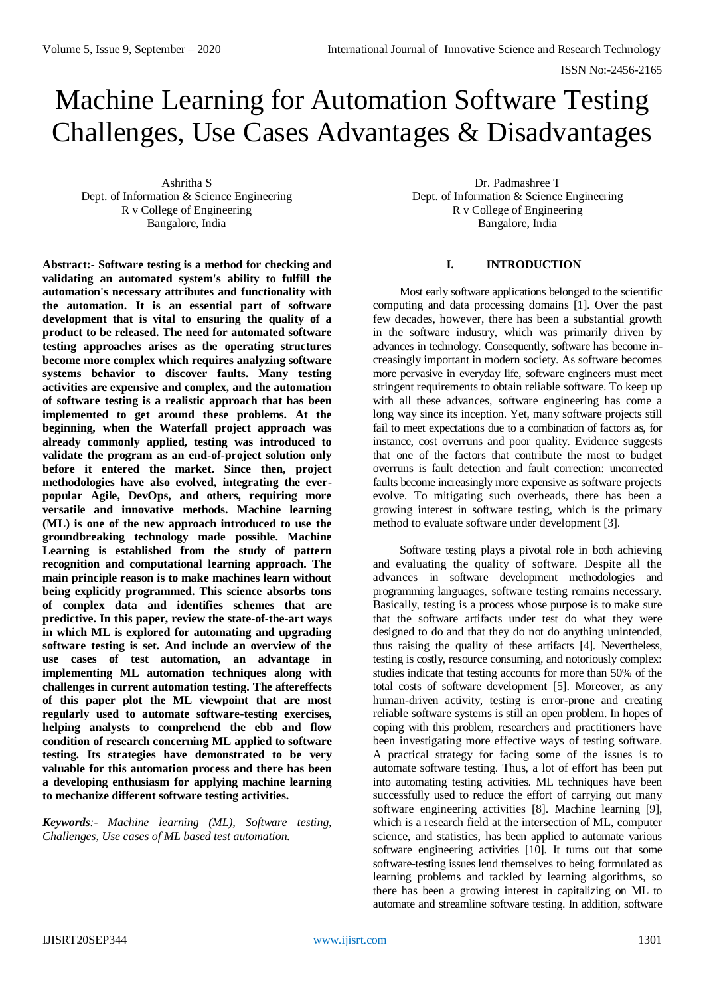# Machine Learning for Automation Software Testing Challenges, Use Cases Advantages & Disadvantages

Ashritha S Dept. of Information & Science Engineering R v College of Engineering Bangalore, India

**Abstract:- Software testing is a method for checking and validating an automated system's ability to fulfill the automation's necessary attributes and functionality with the automation. It is an essential part of software development that is vital to ensuring the quality of a product to be released. The need for automated software testing approaches arises as the operating structures become more complex which requires analyzing software systems behavior to discover faults. Many testing activities are expensive and complex, and the automation of software testing is a realistic approach that has been implemented to get around these problems. At the beginning, when the Waterfall project approach was already commonly applied, testing was introduced to validate the program as an end-of-project solution only before it entered the market. Since then, project methodologies have also evolved, integrating the everpopular Agile, DevOps, and others, requiring more versatile and innovative methods. Machine learning (ML) is one of the new approach introduced to use the groundbreaking technology made possible. Machine Learning is established from the study of pattern recognition and computational learning approach. The main principle reason is to make machines learn without being explicitly programmed. This science absorbs tons of complex data and identifies schemes that are predictive. In this paper, review the state-of-the-art ways in which ML is explored for automating and upgrading software testing is set. And include an overview of the use cases of test automation, an advantage in implementing ML automation techniques along with challenges in current automation testing. The aftereffects of this paper plot the ML viewpoint that are most regularly used to automate software-testing exercises, helping analysts to comprehend the ebb and flow condition of research concerning ML applied to software testing. Its strategies have demonstrated to be very valuable for this automation process and there has been a developing enthusiasm for applying machine learning to mechanize different software testing activities.**

*Keywords:- Machine learning (ML), Software testing, Challenges, Use cases of ML based test automation.*

Dr. Padmashree T Dept. of Information & Science Engineering R v College of Engineering Bangalore, India

# **I. INTRODUCTION**

Most early software applications belonged to the scientific computing and data processing domains [1]. Over the past few decades, however, there has been a substantial growth in the software industry, which was primarily driven by advances in technology. Consequently, software has become increasingly important in modern society. As software becomes more pervasive in everyday life, software engineers must meet stringent requirements to obtain reliable software. To keep up with all these advances, software engineering has come a long way since its inception. Yet, many software projects still fail to meet expectations due to a combination of factors as, for instance, cost overruns and poor quality. Evidence suggests that one of the factors that contribute the most to budget overruns is fault detection and fault correction: uncorrected faults become increasingly more expensive as software projects evolve. To mitigating such overheads, there has been a growing interest in software testing, which is the primary method to evaluate software under development [3].

Software testing plays a pivotal role in both achieving and evaluating the quality of software. Despite all the advances in software development methodologies and programming languages, software testing remains necessary. Basically, testing is a process whose purpose is to make sure that the software artifacts under test do what they were designed to do and that they do not do anything unintended, thus raising the quality of these artifacts [4]. Nevertheless, testing is costly, resource consuming, and notoriously complex: studies indicate that testing accounts for more than 50% of the total costs of software development [5]. Moreover, as any human-driven activity, testing is error-prone and creating reliable software systems is still an open problem. In hopes of coping with this problem, researchers and practitioners have been investigating more effective ways of testing software. A practical strategy for facing some of the issues is to automate software testing. Thus, a lot of effort has been put into automating testing activities. ML techniques have been successfully used to reduce the effort of carrying out many software engineering activities [8]. Machine learning [9], which is a research field at the intersection of ML, computer science, and statistics, has been applied to automate various software engineering activities [10]. It turns out that some software-testing issues lend themselves to being formulated as learning problems and tackled by learning algorithms, so there has been a growing interest in capitalizing on ML to automate and streamline software testing. In addition, software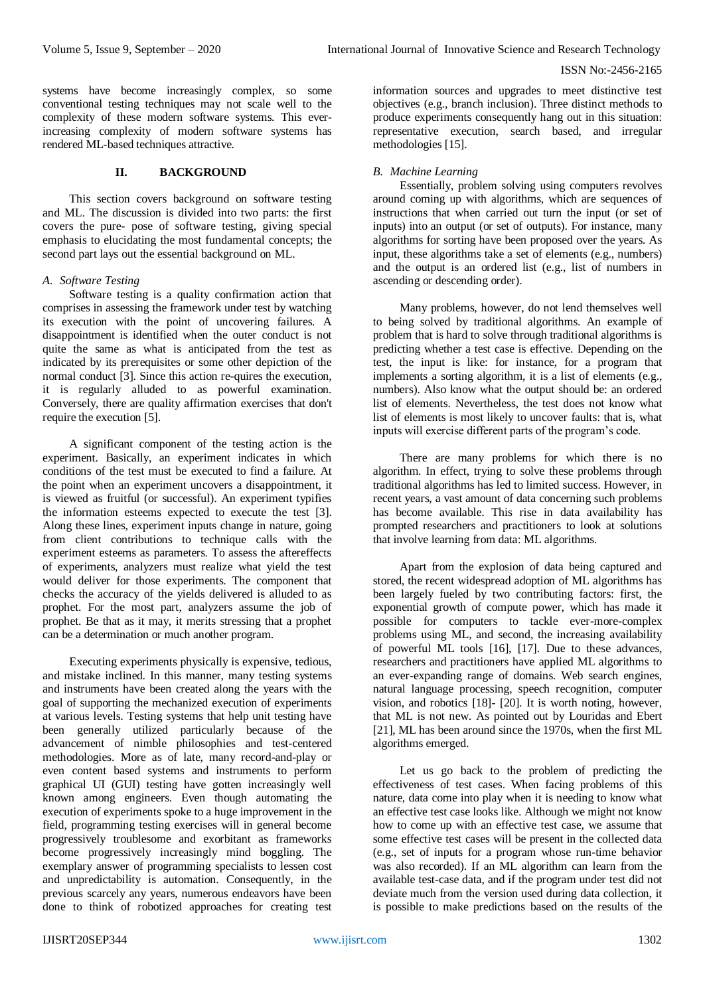systems have become increasingly complex, so some conventional testing techniques may not scale well to the complexity of these modern software systems. This everincreasing complexity of modern software systems has rendered ML-based techniques attractive.

#### **II. BACKGROUND**

This section covers background on software testing and ML. The discussion is divided into two parts: the first covers the pure- pose of software testing, giving special emphasis to elucidating the most fundamental concepts; the second part lays out the essential background on ML.

## *A. Software Testing*

Software testing is a quality confirmation action that comprises in assessing the framework under test by watching its execution with the point of uncovering failures. A disappointment is identified when the outer conduct is not quite the same as what is anticipated from the test as indicated by its prerequisites or some other depiction of the normal conduct [3]. Since this action re-quires the execution, it is regularly alluded to as powerful examination. Conversely, there are quality affirmation exercises that don't require the execution [5].

A significant component of the testing action is the experiment. Basically, an experiment indicates in which conditions of the test must be executed to find a failure. At the point when an experiment uncovers a disappointment, it is viewed as fruitful (or successful). An experiment typifies the information esteems expected to execute the test [3]. Along these lines, experiment inputs change in nature, going from client contributions to technique calls with the experiment esteems as parameters. To assess the aftereffects of experiments, analyzers must realize what yield the test would deliver for those experiments. The component that checks the accuracy of the yields delivered is alluded to as prophet. For the most part, analyzers assume the job of prophet. Be that as it may, it merits stressing that a prophet can be a determination or much another program.

Executing experiments physically is expensive, tedious, and mistake inclined. In this manner, many testing systems and instruments have been created along the years with the goal of supporting the mechanized execution of experiments at various levels. Testing systems that help unit testing have been generally utilized particularly because of the advancement of nimble philosophies and test-centered methodologies. More as of late, many record-and-play or even content based systems and instruments to perform graphical UI (GUI) testing have gotten increasingly well known among engineers. Even though automating the execution of experiments spoke to a huge improvement in the field, programming testing exercises will in general become progressively troublesome and exorbitant as frameworks become progressively increasingly mind boggling. The exemplary answer of programming specialists to lessen cost and unpredictability is automation. Consequently, in the previous scarcely any years, numerous endeavors have been done to think of robotized approaches for creating test

information sources and upgrades to meet distinctive test objectives (e.g., branch inclusion). Three distinct methods to produce experiments consequently hang out in this situation: representative execution, search based, and irregular methodologies [15].

#### *B. Machine Learning*

Essentially, problem solving using computers revolves around coming up with algorithms, which are sequences of instructions that when carried out turn the input (or set of inputs) into an output (or set of outputs). For instance, many algorithms for sorting have been proposed over the years. As input, these algorithms take a set of elements (e.g., numbers) and the output is an ordered list (e.g., list of numbers in ascending or descending order).

Many problems, however, do not lend themselves well to being solved by traditional algorithms. An example of problem that is hard to solve through traditional algorithms is predicting whether a test case is effective. Depending on the test, the input is like: for instance, for a program that implements a sorting algorithm, it is a list of elements (e.g., numbers). Also know what the output should be: an ordered list of elements. Nevertheless, the test does not know what list of elements is most likely to uncover faults: that is, what inputs will exercise different parts of the program's code.

There are many problems for which there is no algorithm. In effect, trying to solve these problems through traditional algorithms has led to limited success. However, in recent years, a vast amount of data concerning such problems has become available. This rise in data availability has prompted researchers and practitioners to look at solutions that involve learning from data: ML algorithms.

Apart from the explosion of data being captured and stored, the recent widespread adoption of ML algorithms has been largely fueled by two contributing factors: first, the exponential growth of compute power, which has made it possible for computers to tackle ever-more-complex problems using ML, and second, the increasing availability of powerful ML tools [16], [17]. Due to these advances, researchers and practitioners have applied ML algorithms to an ever-expanding range of domains. Web search engines, natural language processing, speech recognition, computer vision, and robotics [18]- [20]. It is worth noting, however, that ML is not new. As pointed out by Louridas and Ebert [21], ML has been around since the 1970s, when the first ML algorithms emerged.

Let us go back to the problem of predicting the effectiveness of test cases. When facing problems of this nature, data come into play when it is needing to know what an effective test case looks like. Although we might not know how to come up with an effective test case, we assume that some effective test cases will be present in the collected data (e.g., set of inputs for a program whose run-time behavior was also recorded). If an ML algorithm can learn from the available test-case data, and if the program under test did not deviate much from the version used during data collection, it is possible to make predictions based on the results of the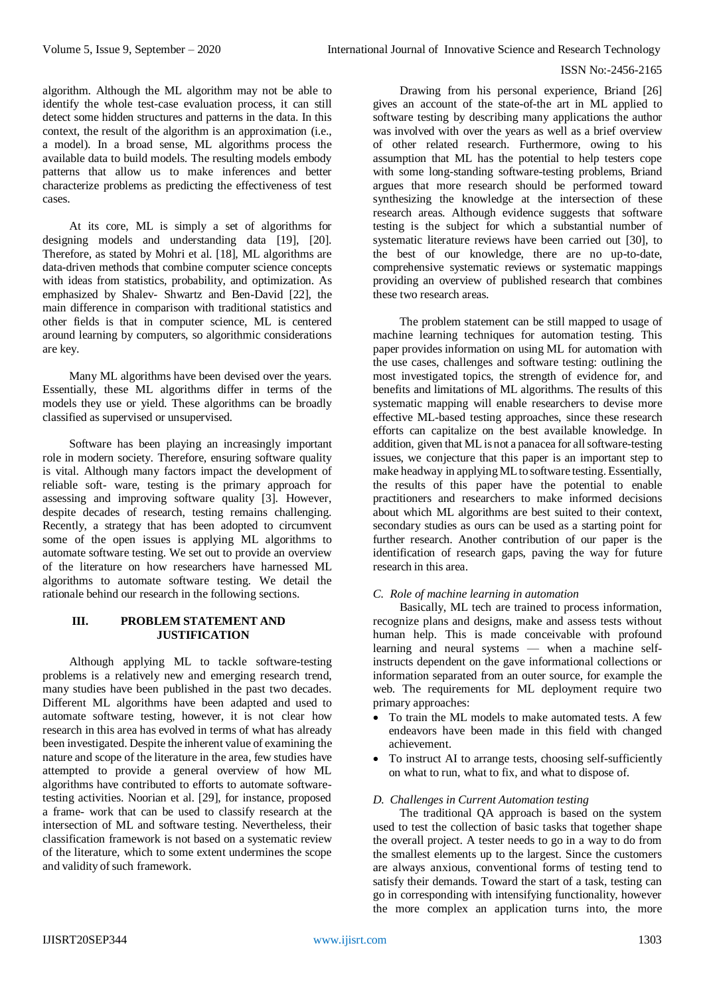algorithm. Although the ML algorithm may not be able to identify the whole test-case evaluation process, it can still detect some hidden structures and patterns in the data. In this context, the result of the algorithm is an approximation (i.e., a model). In a broad sense, ML algorithms process the available data to build models. The resulting models embody patterns that allow us to make inferences and better characterize problems as predicting the effectiveness of test cases.

At its core, ML is simply a set of algorithms for designing models and understanding data [19], [20]. Therefore, as stated by Mohri et al. [18], ML algorithms are data-driven methods that combine computer science concepts with ideas from statistics, probability, and optimization. As emphasized by Shalev- Shwartz and Ben-David [22], the main difference in comparison with traditional statistics and other fields is that in computer science, ML is centered around learning by computers, so algorithmic considerations are key.

Many ML algorithms have been devised over the years. Essentially, these ML algorithms differ in terms of the models they use or yield. These algorithms can be broadly classified as supervised or unsupervised.

Software has been playing an increasingly important role in modern society. Therefore, ensuring software quality is vital. Although many factors impact the development of reliable soft- ware, testing is the primary approach for assessing and improving software quality [3]. However, despite decades of research, testing remains challenging. Recently, a strategy that has been adopted to circumvent some of the open issues is applying ML algorithms to automate software testing. We set out to provide an overview of the literature on how researchers have harnessed ML algorithms to automate software testing. We detail the rationale behind our research in the following sections.

# **III. PROBLEM STATEMENT AND JUSTIFICATION**

Although applying ML to tackle software-testing problems is a relatively new and emerging research trend, many studies have been published in the past two decades. Different ML algorithms have been adapted and used to automate software testing, however, it is not clear how research in this area has evolved in terms of what has already been investigated. Despite the inherent value of examining the nature and scope of the literature in the area, few studies have attempted to provide a general overview of how ML algorithms have contributed to efforts to automate softwaretesting activities. Noorian et al. [29], for instance, proposed a frame- work that can be used to classify research at the intersection of ML and software testing. Nevertheless, their classification framework is not based on a systematic review of the literature, which to some extent undermines the scope and validity of such framework.

Drawing from his personal experience, Briand [26] gives an account of the state-of-the art in ML applied to software testing by describing many applications the author was involved with over the years as well as a brief overview of other related research. Furthermore, owing to his assumption that ML has the potential to help testers cope with some long-standing software-testing problems, Briand argues that more research should be performed toward synthesizing the knowledge at the intersection of these research areas. Although evidence suggests that software testing is the subject for which a substantial number of systematic literature reviews have been carried out [30], to the best of our knowledge, there are no up-to-date, comprehensive systematic reviews or systematic mappings providing an overview of published research that combines these two research areas.

The problem statement can be still mapped to usage of machine learning techniques for automation testing. This paper provides information on using ML for automation with the use cases, challenges and software testing: outlining the most investigated topics, the strength of evidence for, and benefits and limitations of ML algorithms. The results of this systematic mapping will enable researchers to devise more effective ML-based testing approaches, since these research efforts can capitalize on the best available knowledge. In addition, given that ML is not a panacea for all software-testing issues, we conjecture that this paper is an important step to make headway in applyingMLto software testing. Essentially, the results of this paper have the potential to enable practitioners and researchers to make informed decisions about which ML algorithms are best suited to their context, secondary studies as ours can be used as a starting point for further research. Another contribution of our paper is the identification of research gaps, paving the way for future research in this area.

# *C. Role of machine learning in automation*

Basically, ML tech are trained to process information, recognize plans and designs, make and assess tests without human help. This is made conceivable with profound learning and neural systems — when a machine selfinstructs dependent on the gave informational collections or information separated from an outer source, for example the web. The requirements for ML deployment require two primary approaches:

- To train the ML models to make automated tests. A few endeavors have been made in this field with changed achievement.
- To instruct AI to arrange tests, choosing self-sufficiently on what to run, what to fix, and what to dispose of.

# *D. Challenges in Current Automation testing*

The traditional QA approach is based on the system used to test the collection of basic tasks that together shape the overall project. A tester needs to go in a way to do from the smallest elements up to the largest. Since the customers are always anxious, conventional forms of testing tend to satisfy their demands. Toward the start of a task, testing can go in corresponding with intensifying functionality, however the more complex an application turns into, the more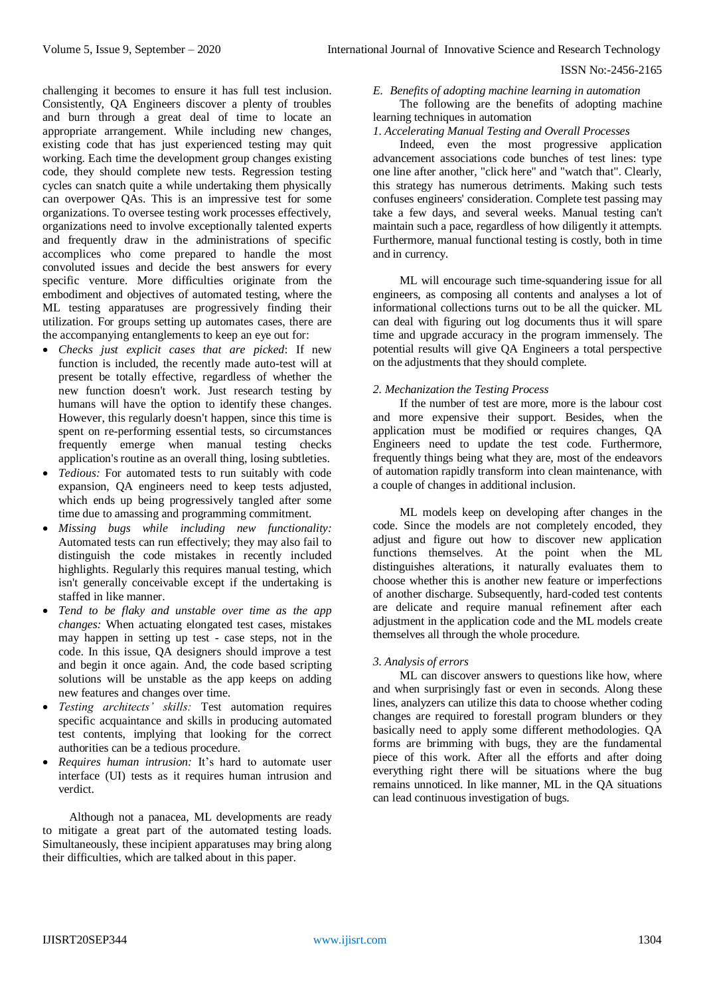challenging it becomes to ensure it has full test inclusion. Consistently, QA Engineers discover a plenty of troubles and burn through a great deal of time to locate an appropriate arrangement. While including new changes, existing code that has just experienced testing may quit working. Each time the development group changes existing code, they should complete new tests. Regression testing cycles can snatch quite a while undertaking them physically can overpower QAs. This is an impressive test for some organizations. To oversee testing work processes effectively, organizations need to involve exceptionally talented experts and frequently draw in the administrations of specific accomplices who come prepared to handle the most convoluted issues and decide the best answers for every specific venture. More difficulties originate from the embodiment and objectives of automated testing, where the ML testing apparatuses are progressively finding their utilization. For groups setting up automates cases, there are the accompanying entanglements to keep an eye out for:

- *Checks just explicit cases that are picked*: If new function is included, the recently made auto-test will at present be totally effective, regardless of whether the new function doesn't work. Just research testing by humans will have the option to identify these changes. However, this regularly doesn't happen, since this time is spent on re-performing essential tests, so circumstances frequently emerge when manual testing checks application's routine as an overall thing, losing subtleties.
- *Tedious:* For automated tests to run suitably with code expansion, QA engineers need to keep tests adjusted, which ends up being progressively tangled after some time due to amassing and programming commitment.
- *Missing bugs while including new functionality:* Automated tests can run effectively; they may also fail to distinguish the code mistakes in recently included highlights. Regularly this requires manual testing, which isn't generally conceivable except if the undertaking is staffed in like manner.
- *Tend to be flaky and unstable over time as the app changes:* When actuating elongated test cases, mistakes may happen in setting up test - case steps, not in the code. In this issue, QA designers should improve a test and begin it once again. And, the code based scripting solutions will be unstable as the app keeps on adding new features and changes over time.
- *Testing architects' skills:* Test automation requires specific acquaintance and skills in producing automated test contents, implying that looking for the correct authorities can be a tedious procedure.
- *Requires human intrusion:* It's hard to automate user interface (UI) tests as it requires human intrusion and verdict.

Although not a panacea, ML developments are ready to mitigate a great part of the automated testing loads. Simultaneously, these incipient apparatuses may bring along their difficulties, which are talked about in this paper.

## *E. Benefits of adopting machine learning in automation*

The following are the benefits of adopting machine learning techniques in automation

## *1. Accelerating Manual Testing and Overall Processes*

Indeed, even the most progressive application advancement associations code bunches of test lines: type one line after another, "click here" and "watch that". Clearly, this strategy has numerous detriments. Making such tests confuses engineers' consideration. Complete test passing may take a few days, and several weeks. Manual testing can't maintain such a pace, regardless of how diligently it attempts. Furthermore, manual functional testing is costly, both in time and in currency.

ML will encourage such time-squandering issue for all engineers, as composing all contents and analyses a lot of informational collections turns out to be all the quicker. ML can deal with figuring out log documents thus it will spare time and upgrade accuracy in the program immensely. The potential results will give QA Engineers a total perspective on the adjustments that they should complete.

## *2. Mechanization the Testing Process*

If the number of test are more, more is the labour cost and more expensive their support. Besides, when the application must be modified or requires changes, QA Engineers need to update the test code. Furthermore, frequently things being what they are, most of the endeavors of automation rapidly transform into clean maintenance, with a couple of changes in additional inclusion.

ML models keep on developing after changes in the code. Since the models are not completely encoded, they adjust and figure out how to discover new application functions themselves. At the point when the ML distinguishes alterations, it naturally evaluates them to choose whether this is another new feature or imperfections of another discharge. Subsequently, hard-coded test contents are delicate and require manual refinement after each adjustment in the application code and the ML models create themselves all through the whole procedure.

## *3. Analysis of errors*

ML can discover answers to questions like how, where and when surprisingly fast or even in seconds. Along these lines, analyzers can utilize this data to choose whether coding changes are required to forestall program blunders or they basically need to apply some different methodologies. QA forms are brimming with bugs, they are the fundamental piece of this work. After all the efforts and after doing everything right there will be situations where the bug remains unnoticed. In like manner, ML in the QA situations can lead continuous investigation of bugs.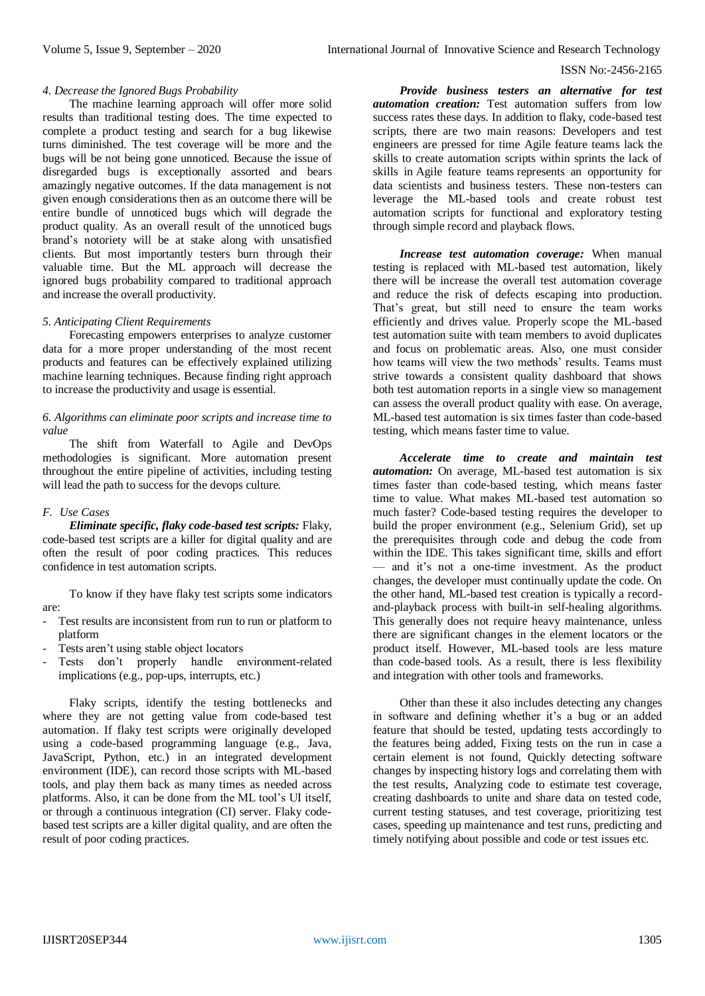### *4. Decrease the Ignored Bugs Probability*

The machine learning approach will offer more solid results than traditional testing does. The time expected to complete a product testing and search for a bug likewise turns diminished. The test coverage will be more and the bugs will be not being gone unnoticed. Because the issue of disregarded bugs is exceptionally assorted and bears amazingly negative outcomes. If the data management is not given enough considerations then as an outcome there will be entire bundle of unnoticed bugs which will degrade the product quality. As an overall result of the unnoticed bugs brand's notoriety will be at stake along with unsatisfied clients. But most importantly testers burn through their valuable time. But the ML approach will decrease the ignored bugs probability compared to traditional approach and increase the overall productivity.

#### *5. Anticipating Client Requirements*

Forecasting empowers enterprises to analyze customer data for a more proper understanding of the most recent products and features can be effectively explained utilizing machine learning techniques. Because finding right approach to increase the productivity and usage is essential.

## *6. Algorithms can eliminate poor scripts and increase time to value*

The shift from Waterfall to Agile and DevOps methodologies is significant. More automation present throughout the entire pipeline of activities, including testing will lead the path to success for the devops culture.

## *F. Use Cases*

*Eliminate specific, flaky code-based test scripts:* Flaky, code-based test scripts are a killer for digital quality and are often the result of poor coding practices. This reduces confidence in test automation scripts.

To know if they have flaky test scripts some indicators are:

- Test results are inconsistent from run to run or platform to platform
- Tests aren't using stable object locators
- Tests don't properly handle environment-related implications (e.g., pop-ups, interrupts, etc.)

Flaky scripts, identify the testing bottlenecks and where they are not getting value from code-based test automation. If flaky test scripts were originally developed using a code-based programming language (e.g., Java, JavaScript, Python, etc.) in an integrated development environment (IDE), can record those scripts with ML-based tools, and play them back as many times as needed across platforms. Also, it can be done from the ML tool's UI itself, or through a continuous integration (CI) server. Flaky codebased test scripts are a killer digital quality, and are often the result of poor coding practices.

*Provide business testers an alternative for test automation creation:* Test automation suffers from low success rates these days. In addition to flaky, code-based test scripts, there are two main reasons: Developers and test engineers are pressed for time Agile feature teams lack the skills to create automation scripts within sprints the lack of skills in Agile feature teams represents an opportunity for data scientists and business testers. These non-testers can leverage the ML-based tools and create robust test automation scripts for functional and exploratory testing through simple record and playback flows.

*Increase test automation coverage:* When manual testing is replaced with ML-based test automation, likely there will be increase the overall test automation coverage and reduce the risk of defects escaping into production. That's great, but still need to ensure the team works efficiently and drives value. Properly scope the ML-based test automation suite with team members to avoid duplicates and focus on problematic areas. Also, one must consider how teams will view the two methods' results. Teams must strive towards a consistent quality dashboard that shows both test automation reports in a single view so management can assess the overall product quality with ease. On average, ML-based test automation is six times faster than code-based testing, which means faster time to value.

*Accelerate time to create and maintain test automation:* On average, ML-based test automation is six times faster than code-based testing, which means faster time to value. What makes ML-based test automation so much faster? Code-based testing requires the developer to build the proper environment (e.g., Selenium Grid), set up the prerequisites through code and debug the code from within the IDE. This takes significant time, skills and effort — and it's not a one-time investment. As the product changes, the developer must continually update the code. On the other hand, ML-based test creation is typically a recordand-playback process with built-in self-healing algorithms. This generally does not require heavy maintenance, unless there are significant changes in the element locators or the product itself. However, ML-based tools are less mature than code-based tools. As a result, there is less flexibility and integration with other tools and frameworks.

Other than these it also includes detecting any changes in software and defining whether it's a bug or an added feature that should be tested, updating tests accordingly to the features being added, Fixing tests on the run in case a certain element is not found, Quickly detecting software changes by inspecting history logs and correlating them with the test results, Analyzing code to estimate test coverage, creating dashboards to unite and share data on tested code, current testing statuses, and test coverage, prioritizing test cases, speeding up maintenance and test runs, predicting and timely notifying about possible and code or test issues etc.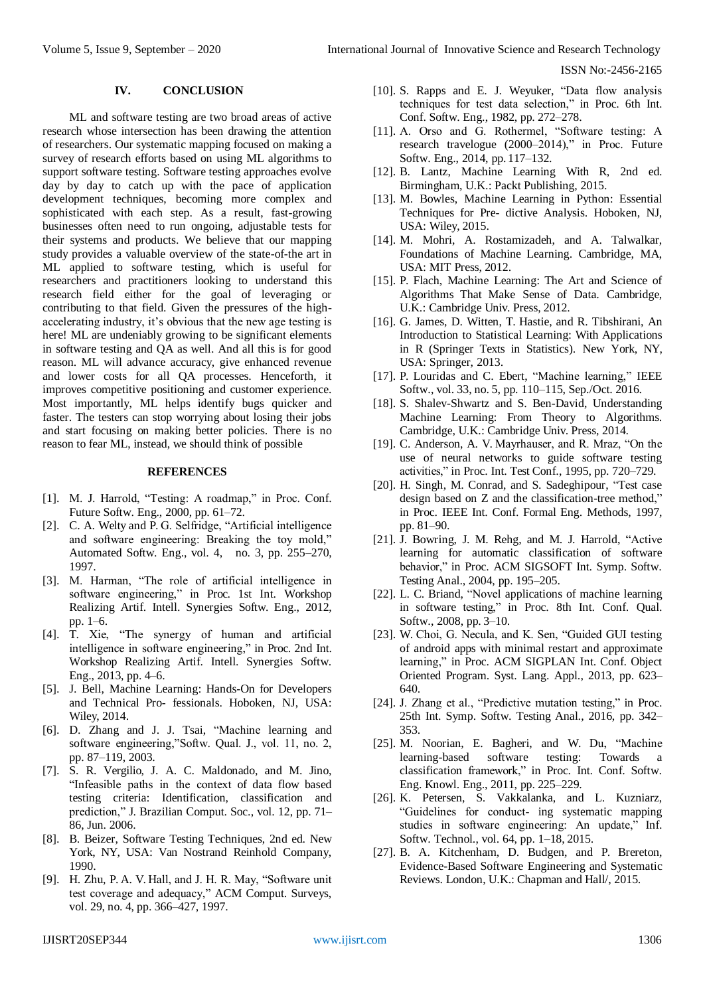## **IV. CONCLUSION**

ML and software testing are two broad areas of active research whose intersection has been drawing the attention of researchers. Our systematic mapping focused on making a survey of research efforts based on using ML algorithms to support software testing. Software testing approaches evolve day by day to catch up with the pace of application development techniques, becoming more complex and sophisticated with each step. As a result, fast-growing businesses often need to run ongoing, adjustable tests for their systems and products. We believe that our mapping study provides a valuable overview of the state-of-the art in ML applied to software testing, which is useful for researchers and practitioners looking to understand this research field either for the goal of leveraging or contributing to that field. Given the pressures of the highaccelerating industry, it's obvious that the new age testing is here! ML are undeniably growing to be significant elements in software testing and QA as well. And all this is for good reason. ML will advance accuracy, give enhanced revenue and lower costs for all QA processes. Henceforth, it improves competitive positioning and customer experience. Most importantly, ML helps identify bugs quicker and faster. The testers can stop worrying about losing their jobs and start focusing on making better policies. There is no reason to fear ML, instead, we should think of possible

# **REFERENCES**

- [1]. M. J. Harrold, "Testing: A roadmap," in Proc. Conf. Future Softw. Eng., 2000, pp. 61–72.
- [2]. C. A. Welty and P. G. Selfridge, "Artificial intelligence and software engineering: Breaking the toy mold," Automated Softw. Eng., vol. 4, no. 3, pp. 255–270, 1997.
- [3]. M. Harman, "The role of artificial intelligence in software engineering," in Proc. 1st Int. Workshop Realizing Artif. Intell. Synergies Softw. Eng., 2012, pp. 1–6.
- [4]. T. Xie, "The synergy of human and artificial intelligence in software engineering," in Proc. 2nd Int. Workshop Realizing Artif. Intell. Synergies Softw. Eng., 2013, pp. 4–6.
- [5]. J. Bell, Machine Learning: Hands-On for Developers and Technical Pro- fessionals. Hoboken, NJ, USA: Wiley, 2014.
- [6]. D. Zhang and J. J. Tsai, "Machine learning and software engineering,"Softw. Qual. J., vol. 11, no. 2, pp. 87–119, 2003.
- [7]. S. R. Vergilio, J. A. C. Maldonado, and M. Jino, "Infeasible paths in the context of data flow based testing criteria: Identification, classification and prediction," J. Brazilian Comput. Soc., vol. 12, pp. 71– 86, Jun. 2006.
- [8]. B. Beizer, Software Testing Techniques, 2nd ed. New York, NY, USA: Van Nostrand Reinhold Company, 1990.
- [9]. H. Zhu, P. A. V. Hall, and J. H. R. May, "Software unit test coverage and adequacy," ACM Comput. Surveys, vol. 29, no. 4, pp. 366–427, 1997.
- [10]. S. Rapps and E. J. Weyuker, "Data flow analysis techniques for test data selection," in Proc. 6th Int. Conf. Softw. Eng., 1982, pp. 272–278.
- [11]. A. Orso and G. Rothermel, "Software testing: A research travelogue (2000–2014)," in Proc. Future Softw. Eng., 2014, pp. 117–132.
- [12]. B. Lantz, Machine Learning With R, 2nd ed. Birmingham, U.K.: Packt Publishing, 2015.
- [13]. M. Bowles, Machine Learning in Python: Essential Techniques for Pre- dictive Analysis. Hoboken, NJ, USA: Wiley, 2015.
- [14]. M. Mohri, A. Rostamizadeh, and A. Talwalkar, Foundations of Machine Learning. Cambridge, MA, USA: MIT Press, 2012.
- [15]. P. Flach, Machine Learning: The Art and Science of Algorithms That Make Sense of Data. Cambridge, U.K.: Cambridge Univ. Press, 2012.
- [16]. G. James, D. Witten, T. Hastie, and R. Tibshirani, An Introduction to Statistical Learning: With Applications in R (Springer Texts in Statistics). New York, NY, USA: Springer, 2013.
- [17]. P. Louridas and C. Ebert, "Machine learning," IEEE Softw., vol. 33, no. 5, pp. 110–115, Sep./Oct. 2016.
- [18]. S. Shalev-Shwartz and S. Ben-David, Understanding Machine Learning: From Theory to Algorithms. Cambridge, U.K.: Cambridge Univ. Press, 2014.
- [19]. C. Anderson, A. V. Mayrhauser, and R. Mraz, "On the use of neural networks to guide software testing activities," in Proc. Int. Test Conf., 1995, pp. 720–729.
- [20]. H. Singh, M. Conrad, and S. Sadeghipour, "Test case design based on Z and the classification-tree method," in Proc. IEEE Int. Conf. Formal Eng. Methods, 1997, pp. 81–90.
- [21]. J. Bowring, J. M. Rehg, and M. J. Harrold, "Active learning for automatic classification of software behavior," in Proc. ACM SIGSOFT Int. Symp. Softw. Testing Anal., 2004, pp. 195–205.
- [22]. L. C. Briand, "Novel applications of machine learning in software testing," in Proc. 8th Int. Conf. Qual. Softw., 2008, pp. 3–10.
- [23]. W. Choi, G. Necula, and K. Sen, "Guided GUI testing of android apps with minimal restart and approximate learning," in Proc. ACM SIGPLAN Int. Conf. Object Oriented Program. Syst. Lang. Appl., 2013, pp. 623– 640.
- [24]. J. Zhang et al., "Predictive mutation testing," in Proc. 25th Int. Symp. Softw. Testing Anal., 2016, pp. 342– 353.
- [25]. M. Noorian, E. Bagheri, and W. Du, "Machine learning-based software testing: Towards classification framework," in Proc. Int. Conf. Softw. Eng. Knowl. Eng., 2011, pp. 225–229.
- [26]. K. Petersen, S. Vakkalanka, and L. Kuzniarz, "Guidelines for conduct- ing systematic mapping studies in software engineering: An update," Inf. Softw. Technol., vol. 64, pp. 1–18, 2015.
- [27]. B. A. Kitchenham, D. Budgen, and P. Brereton, Evidence-Based Software Engineering and Systematic Reviews. London, U.K.: Chapman and Hall/, 2015.